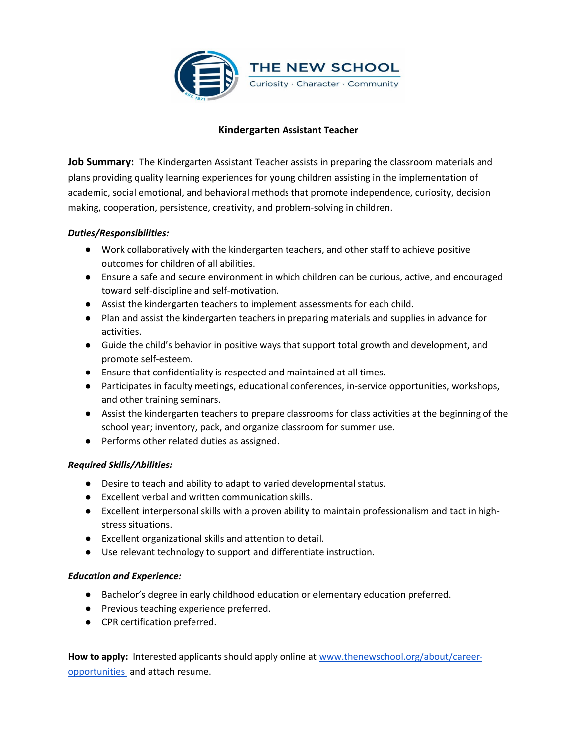

## **Kindergarten Assistant Teacher**

**Job Summary:** The Kindergarten Assistant Teacher assists in preparing the classroom materials and plans providing quality learning experiences for young children assisting in the implementation of academic, social emotional, and behavioral methods that promote independence, curiosity, decision making, cooperation, persistence, creativity, and problem-solving in children.

## *Duties/Responsibilities:*

- Work collaboratively with the kindergarten teachers, and other staff to achieve positive outcomes for children of all abilities.
- Ensure a safe and secure environment in which children can be curious, active, and encouraged toward self-discipline and self-motivation.
- Assist the kindergarten teachers to implement assessments for each child.
- Plan and assist the kindergarten teachers in preparing materials and supplies in advance for activities.
- Guide the child's behavior in positive ways that support total growth and development, and promote self-esteem.
- Ensure that confidentiality is respected and maintained at all times.
- Participates in faculty meetings, educational conferences, in-service opportunities, workshops, and other training seminars.
- Assist the kindergarten teachers to prepare classrooms for class activities at the beginning of the school year; inventory, pack, and organize classroom for summer use.
- Performs other related duties as assigned.

## *Required Skills/Abilities:*

- Desire to teach and ability to adapt to varied developmental status.
- Excellent verbal and written communication skills.
- Excellent interpersonal skills with a proven ability to maintain professionalism and tact in highstress situations.
- Excellent organizational skills and attention to detail.
- Use relevant technology to support and differentiate instruction.

## *Education and Experience:*

- Bachelor's degree in early childhood education or elementary education preferred.
- Previous teaching experience preferred.
- CPR certification preferred.

**How to apply:** Interested applicants should apply online a[t](http://www.thenewschool.org/about/career-opportunities) [www.thenewschool.org/about/career](http://www.thenewschool.org/about/career-opportunities)[opportunities](http://www.thenewschool.org/about/career-opportunities) and attach resume.